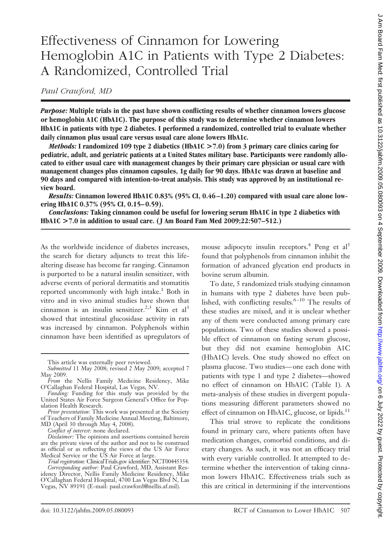# Effectiveness of Cinnamon for Lowering Hemoglobin A1C in Patients with Type 2 Diabetes: A Randomized, Controlled Trial

*Paul Crawford, MD*

*Purpose:* **Multiple trials in the past have shown conflicting results of whether cinnamon lowers glucose or hemoglobin A1C (HbA1C). The purpose of this study was to determine whether cinnamon lowers HbA1C in patients with type 2 diabetes. I performed a randomized, controlled trial to evaluate whether daily cinnamon plus usual care versus usual care alone lowers HbA1c.**

*Methods:* **I randomized 109 type 2 diabetics (HbA1C >7.0) from 3 primary care clinics caring for pediatric, adult, and geriatric patients at a United States military base. Participants were randomly allocated to either usual care with management changes by their primary care physician or usual care with management changes plus cinnamon capsules, 1g daily for 90 days. HbA1c was drawn at baseline and 90 days and compared with intention-to-treat analysis. This study was approved by an institutional review board.**

*Results:* **Cinnamon lowered HbA1C 0.83% (95% CI, 0.46 –1.20) compared with usual care alone lowering HbA1C 0.37% (95% CI, 0.15– 0.59).**

*Conclusions:* **Taking cinnamon could be useful for lowering serum HbA1C in type 2 diabetics with HbA1C >7.0 in addition to usual care. ( J Am Board Fam Med 2009;22:507–512.)**

As the worldwide incidence of diabetes increases, the search for dietary adjuncts to treat this lifealtering disease has become far ranging. Cinnamon is purported to be a natural insulin sensitizer, with adverse events of perioral dermatitis and stomatitis reported uncommonly with high intake.<sup>1</sup> Both in vitro and in vivo animal studies have shown that cinnamon is an insulin sensitizer.<sup>2,3</sup> Kim et al<sup>3</sup> showed that intestinal glucosidase activity in rats was increased by cinnamon. Polyphenols within cinnamon have been identified as upregulators of

*Conflict of interest:* none declared.

mouse adipocyte insulin receptors.<sup>4</sup> Peng et al<sup>5</sup> found that polyphenols from cinnamon inhibit the formation of advanced glycation end products in bovine serum albumin.

To date, 5 randomized trials studying cinnamon in humans with type 2 diabetes have been published, with conflicting results. $6 - 10$  The results of these studies are mixed, and it is unclear whether any of them were conducted among primary care populations. Two of these studies showed a possible effect of cinnamon on fasting serum glucose, but they did not examine hemoglobin A1C (HbA1C) levels. One study showed no effect on plasma glucose. Two studies— one each done with patients with type 1 and type 2 diabetes—showed no effect of cinnamon on HbA1C (Table 1). A meta-analysis of these studies in divergent populations measuring different parameters showed no effect of cinnamon on HbA1C, glucose, or lipids. $^{11}$ 

This trial strove to replicate the conditions found in primary care, where patients often have medication changes, comorbid conditions, and dietary changes. As such, it was not an efficacy trial with every variable controlled. It attempted to determine whether the intervention of taking cinnamon lowers HbA1C. Effectiveness trials such as this are critical in determining if the interventions

This article was externally peer reviewed.

*Submitted* 11 May 2008; revised 2 May 2009; accepted 7 May 2009.

*From* the Nellis Family Medicine Residency, Mike O'Callaghan Federal Hospital, Las Vegas, NV.

*Funding:* Funding for this study was provided by the United States Air Force Surgeon General's Office for Population Health Research.

*Prior presentation:* This work was presented at the Society of Teachers of Family Medicine Annual Meeting, Baltimore, MD (April 30 through May 4, 2008).

*Disclaimer:* The opinions and assertions contained herein are the private views of the author and not to be construed as official or as reflecting the views of the US Air Force Medical Service or the US Air Force at large.

*Trial registration:* ClinicalTrials.gov identifier: NCT00445354. *Corresponding author:* Paul Crawford, MD, Assistant Residency Director, Nellis Family Medicine Residency, Mike O'Callaghan Federal Hospital, 4700 Las Vegas Blvd N, Las Vegas, NV 89191 (E-mail: paul.crawford@nellis.af.mil).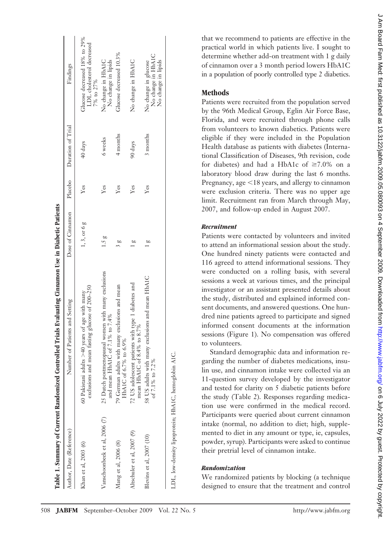| Table 1. Summary of Current Randomized Controlled'   | Trials Evaluating Cinnamon Use in Diabetic Patients                                                |                  |         |                   |                                                                        |
|------------------------------------------------------|----------------------------------------------------------------------------------------------------|------------------|---------|-------------------|------------------------------------------------------------------------|
| Author, Date (Reference)                             | Number of Patients and Setting                                                                     | Dose of Cinnamon | Placebo | Duration of Trial | Findings                                                               |
| Khan et al, 2003 (6)                                 | exclusions and mean fasting glucose of 200-250<br>60 Pakistani adults $>40$ years of age with many | $1, 3,$ or 6 $g$ | Yes     | 40 days           | Glucose decreased 18% to 29%<br>LDL cholesterol decreased<br>7% to 27% |
| Vanschoonbeek et al, 2006 (7)                        | 25 Dutch postmenopausal women with many exclusions<br>and mean HbA1C of 7.1% to 7.4%               | 1.5g             | Yes     | 6 weeks           | No change in HbA1C<br>No change in lipids                              |
| Mang et al, 2006 (8)                                 | 79 German adults with many exclusions and mean<br>HbA1C of 6.7% to 6.9%                            | ρU               | Yes     | 4 months          | Glucose decreased 10.3%                                                |
| Altschuler et al, 2007 (9)                           | 72 US adolescent patients with type 1 diabetes and<br>mean HbAIC of 8.4% to 8.7%                   |                  | Yes     | 90 days           | No change in HbAIC                                                     |
| Blevins et al, 2007 (10)                             | 58 US adults with many exclusions and mean HbA1C<br>of 7.1% to 7.2%                                | ĝΩ               | Yes     | 3 months          | No change in HbA1C<br>No change in lipids<br>No change in glucose      |
| LDL, low-density lipoprotein; HbA1C, hemoglobin A1C. |                                                                                                    |                  |         |                   |                                                                        |

that we recommend to patients are effective in the practical world in which patients live. I sought to determine whether add-on treatment with 1 g daily of cinnamon over a 3 month period lowers HbA1C in a population of poorly controlled type 2 diabetics.

# **Methods**

Patients were recruited from the population served by the 96th Medical Group, Eglin Air Force Base, Florida, and were recruited through phone calls from volunteers to known diabetics. Patients were eligible if they were included in the Population Health database as patients with diabetes (International Classification of Diseases, 9th revision, code for diabetes) and had a HbA1c of  $\geq 7.0\%$  on a laboratory blood draw during the last 6 months. Pregnancy, age  $\leq 18$  years, and allergy to cinnamon were exclusion criteria. There was no upper age limit. Recruitment ran from March through May, 2007, and follow-up ended in August 2007.

# *Recruitment*

Patients were contacted by volunteers and invited to attend an informational session about the study. One hundred ninety patients were contacted and 116 agreed to attend informational sessions. They were conducted on a rolling basis, with several sessions a week at various times, and the principal investigator or an assistant presented details about the study, distributed and explained informed consent documents, and answered questions. One hundred nine patients agreed to participate and signed informed consent documents at the information sessions (Figure 1). No compensation was offered to volunteers.

Standard demographic data and information regarding the number of diabetes medications, insulin use, and cinnamon intake were collected via an 11-question survey developed by the investigator and tested for clarity on 5 diabetic patients before the study (Table 2). Responses regarding medication use were confirmed in the medical record. Participants were queried about current cinnamon intake (normal, no addition to diet; high, supplemented to diet in any amount or type, ie, capsules, powder, syrup). Participants were asked to continue their pretrial level of cinnamon intake.

# *Randomization*

We randomized patients by blocking (a technique designed to ensure that the treatment and control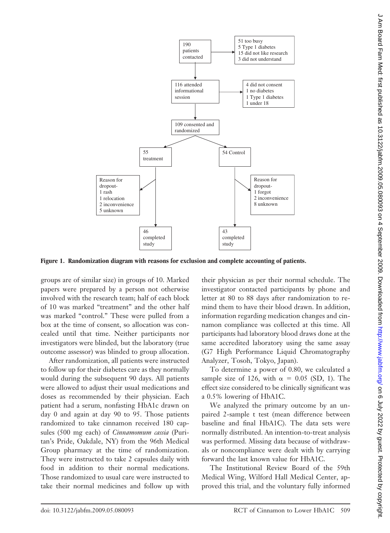

**Figure 1. Randomization diagram with reasons for exclusion and complete accounting of patients.**

groups are of similar size) in groups of 10. Marked papers were prepared by a person not otherwise involved with the research team; half of each block of 10 was marked "treatment" and the other half was marked "control." These were pulled from a box at the time of consent, so allocation was concealed until that time. Neither participants nor investigators were blinded, but the laboratory (true outcome assessor) was blinded to group allocation.

After randomization, all patients were instructed to follow up for their diabetes care as they normally would during the subsequent 90 days. All patients were allowed to adjust their usual medications and doses as recommended by their physician. Each patient had a serum, nonfasting HbA1c drawn on day 0 and again at day 90 to 95. Those patients randomized to take cinnamon received 180 capsules (500 mg each) of *Cinnamomum cassia* (Puritan's Pride, Oakdale, NY) from the 96th Medical Group pharmacy at the time of randomization. They were instructed to take 2 capsules daily with food in addition to their normal medications. Those randomized to usual care were instructed to take their normal medicines and follow up with their physician as per their normal schedule. The investigator contacted participants by phone and letter at 80 to 88 days after randomization to remind them to have their blood drawn. In addition, information regarding medication changes and cinnamon compliance was collected at this time. All participants had laboratory blood draws done at the same accredited laboratory using the same assay (G7 High Performance Liquid Chromatography Analyzer, Tosoh, Tokyo, Japan).

To determine a power of 0.80, we calculated a sample size of 126, with  $\alpha = 0.05$  (SD, 1). The effect size considered to be clinically significant was a 0.5% lowering of HbA1C.

We analyzed the primary outcome by an unpaired 2-sample t test (mean difference between baseline and final HbA1C). The data sets were normally distributed. An intention-to-treat analysis was performed. Missing data because of withdrawals or noncompliance were dealt with by carrying forward the last known value for HbA1C.

The Institutional Review Board of the 59th Medical Wing, Wilford Hall Medical Center, approved this trial, and the voluntary fully informed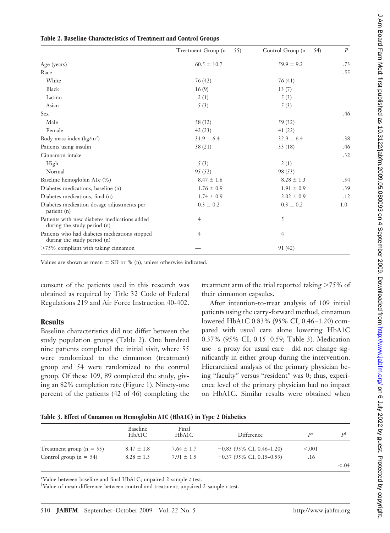|                                                                              | Treatment Group ( $n = 55$ ) | Control Group ( $n = 54$ ) | P   |
|------------------------------------------------------------------------------|------------------------------|----------------------------|-----|
| Age (years)                                                                  | $60.5 \pm 10.7$              | $59.9 \pm 9.2$             | .73 |
| Race                                                                         |                              |                            | .55 |
| White                                                                        | 76 (42)                      | 76(41)                     |     |
| Black                                                                        | 16(9)                        | 13(7)                      |     |
| Latino                                                                       | 2(1)                         | 5(3)                       |     |
| Asian                                                                        | 5(3)                         | 5(3)                       |     |
| <b>Sex</b>                                                                   |                              |                            | .46 |
| Male                                                                         | 58 (32)                      | 59 (32)                    |     |
| Female                                                                       | 42(23)                       | 41(22)                     |     |
| Body mass index $(kg/m2)$                                                    | $31.9 \pm 6.4$               | $32.9 \pm 6.4$             | .38 |
| Patients using insulin                                                       | 38(21)                       | 33(18)                     | .46 |
| Cinnamon intake                                                              |                              |                            | .32 |
| High                                                                         | 5(3)                         | 2(1)                       |     |
| Normal                                                                       | 95(52)                       | 98 (53)                    |     |
| Baseline hemoglobin A1c (%)                                                  | $8.47 \pm 1.8$               | $8.28 \pm 1.3$             | .54 |
| Diabetes medications, baseline (n)                                           | $1.76 \pm 0.9$               | $1.91 \pm 0.9$             | .39 |
| Diabetes medications, final (n)                                              | $1.74 \pm 0.9$               | $2.02 \pm 0.9$             | .12 |
| Diabetes medication dosage adjustments per<br>patient (n)                    | $0.3 \pm 0.2$                | $0.3 \pm 0.2$              | 1.0 |
| Patients with new diabetes medications added<br>during the study period (n)  | 4                            | 5                          |     |
| Patients who had diabetes medications stopped<br>during the study period (n) | 4                            | $\overline{4}$             |     |
| $>75\%$ compliant with taking cinnamon                                       |                              | 91 (42)                    |     |

#### **Table 2. Baseline Characteristics of Treatment and Control Groups**

Values are shown as mean  $\pm$  SD or % (n), unless otherwise indicated.

consent of the patients used in this research was obtained as required by Title 32 Code of Federal Regulations 219 and Air Force Instruction 40-402.

#### **Results**

Baseline characteristics did not differ between the study population groups (Table 2). One hundred nine patients completed the initial visit, where 55 were randomized to the cinnamon (treatment) group and 54 were randomized to the control group. Of these 109, 89 completed the study, giving an 82% completion rate (Figure 1). Ninety-one percent of the patients (42 of 46) completing the

treatment arm of the trial reported taking  $>75\%$  of their cinnamon capsules.

After intention-to-treat analysis of 109 initial patients using the carry-forward method, cinnamon lowered HbA1C 0.83% (95% CI, 0.46 –1.20) compared with usual care alone lowering HbA1C 0.37% (95% CI, 0.15– 0.59; Table 3). Medication use—a proxy for usual care— did not change significantly in either group during the intervention. Hierarchical analysis of the primary physician being "faculty" versus "resident" was 0; thus, experience level of the primary physician had no impact on HbA1C. Similar results were obtained when

#### **Table 3. Effect of Cnnamon on Hemoglobin A1C (HbA1C) in Type 2 Diabetics**

|                              | Baseline<br>HbA1C | Final<br>HbA1C | Difference                  | D*       | рt     |
|------------------------------|-------------------|----------------|-----------------------------|----------|--------|
| Treatment group ( $n = 55$ ) | $8.47 \pm 1.8$    | $7.64 \pm 1.7$ | $-0.83$ (95% CI, 0.46–1.20) | ${<}001$ |        |
| Control group $(n = 54)$     | $8.28 \pm 1.3$    | $7.91 \pm 1.5$ | $-0.37$ (95% CI, 0.15-0.59) | .16      |        |
|                              |                   |                |                             |          | < 0.04 |

\*Value between baseline and final HbA1C; unpaired 2-sample *t* test.

† Value of mean difference between control and treatment; unpaired 2-sample *t* test.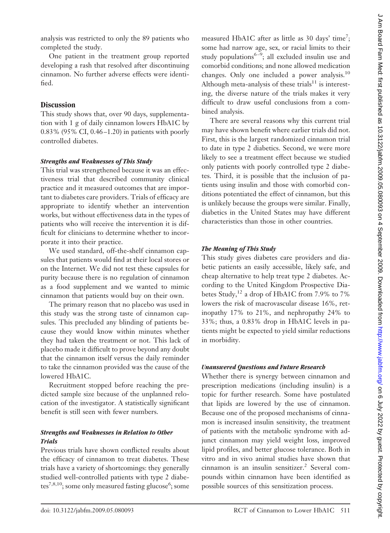One patient in the treatment group reported developing a rash that resolved after discontinuing cinnamon. No further adverse effects were identified.

#### **Discussion**

This study shows that, over 90 days, supplementation with 1 g of daily cinnamon lowers HbA1C by 0.83% (95% CI, 0.46 –1.20) in patients with poorly controlled diabetes.

#### *Strengths and Weaknesses of This Study*

This trial was strengthened because it was an effectiveness trial that described community clinical practice and it measured outcomes that are important to diabetes care providers. Trials of efficacy are appropriate to identify whether an intervention works, but without effectiveness data in the types of patients who will receive the intervention it is difficult for clinicians to determine whether to incorporate it into their practice.

We used standard, off-the-shelf cinnamon capsules that patients would find at their local stores or on the Internet. We did not test these capsules for purity because there is no regulation of cinnamon as a food supplement and we wanted to mimic cinnamon that patients would buy on their own.

The primary reason that no placebo was used in this study was the strong taste of cinnamon capsules. This precluded any blinding of patients because they would know within minutes whether they had taken the treatment or not. This lack of placebo made it difficult to prove beyond any doubt that the cinnamon itself versus the daily reminder to take the cinnamon provided was the cause of the lowered HbA1C.

Recruitment stopped before reaching the predicted sample size because of the unplanned relocation of the investigator. A statistically significant benefit is still seen with fewer numbers.

# *Strengths and Weaknesses in Relation to Other Trials*

Previous trials have shown conflicted results about the efficacy of cinnamon to treat diabetes. These trials have a variety of shortcomings: they generally studied well-controlled patients with type 2 diabetes<sup>7,8,10</sup>; some only measured fasting glucose<sup>6</sup>; some

measured HbA1C after as little as 30 days' time<sup>7</sup>; some had narrow age, sex, or racial limits to their study populations<sup>6-9</sup>; all excluded insulin use and comorbid conditions; and none allowed medication changes. Only one included a power analysis.10 Although meta-analysis of these trials<sup>11</sup> is interesting, the diverse nature of the trials makes it very difficult to draw useful conclusions from a combined analysis.

There are several reasons why this current trial may have shown benefit where earlier trials did not. First, this is the largest randomized cinnamon trial to date in type 2 diabetics. Second, we were more likely to see a treatment effect because we studied only patients with poorly controlled type 2 diabetes. Third, it is possible that the inclusion of patients using insulin and those with comorbid conditions potentiated the effect of cinnamon, but this is unlikely because the groups were similar. Finally, diabetics in the United States may have different characteristics than those in other countries.

# *The Meaning of This Study*

This study gives diabetes care providers and diabetic patients an easily accessible, likely safe, and cheap alternative to help treat type 2 diabetes. According to the United Kingdom Prospective Diabetes Study,<sup>12</sup> a drop of HbA1C from 7.9% to 7% lowers the risk of macrovascular disease 16%, retinopathy 17% to 21%, and nephropathy 24% to 33%; thus, a 0.83% drop in HbA1C levels in patients might be expected to yield similar reductions in morbidity.

# *Unanswered Questions and Future Research*

Whether there is synergy between cinnamon and prescription medications (including insulin) is a topic for further research. Some have postulated that lipids are lowered by the use of cinnamon. Because one of the proposed mechanisms of cinnamon is increased insulin sensitivity, the treatment of patients with the metabolic syndrome with adjunct cinnamon may yield weight loss, improved lipid profiles, and better glucose tolerance. Both in vitro and in vivo animal studies have shown that cinnamon is an insulin sensitizer.<sup>2</sup> Several compounds within cinnamon have been identified as possible sources of this sensitization process.